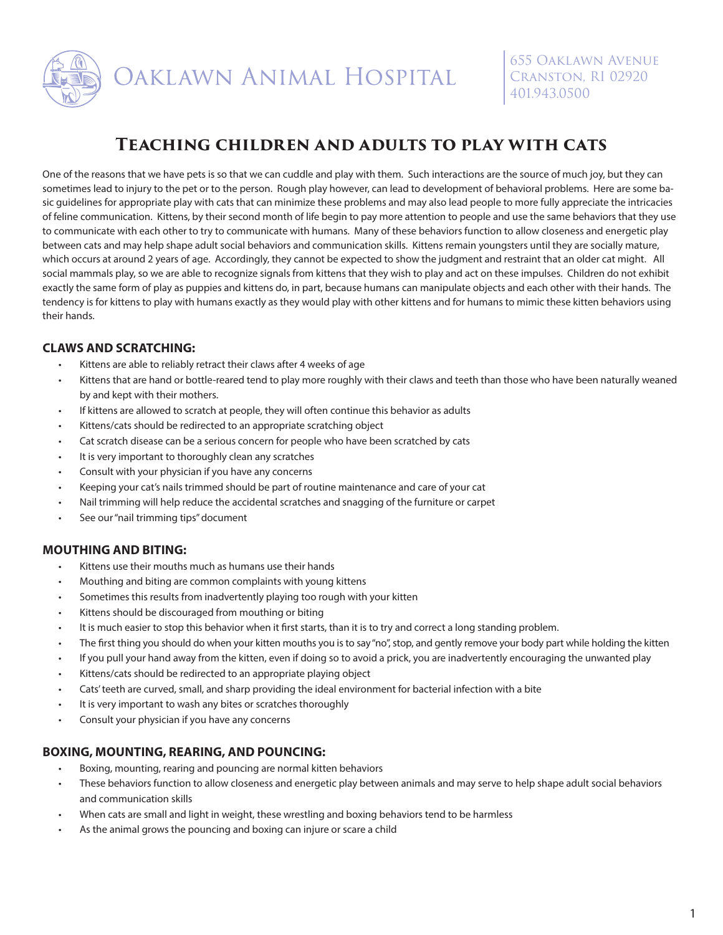

# **Teaching children and adults to play with cats**

One of the reasons that we have pets is so that we can cuddle and play with them. Such interactions are the source of much joy, but they can sometimes lead to injury to the pet or to the person. Rough play however, can lead to development of behavioral problems. Here are some basic guidelines for appropriate play with cats that can minimize these problems and may also lead people to more fully appreciate the intricacies of feline communication. Kittens, by their second month of life begin to pay more attention to people and use the same behaviors that they use to communicate with each other to try to communicate with humans. Many of these behaviors function to allow closeness and energetic play between cats and may help shape adult social behaviors and communication skills. Kittens remain youngsters until they are socially mature, which occurs at around 2 years of age. Accordingly, they cannot be expected to show the judgment and restraint that an older cat might. All social mammals play, so we are able to recognize signals from kittens that they wish to play and act on these impulses. Children do not exhibit exactly the same form of play as puppies and kittens do, in part, because humans can manipulate objects and each other with their hands. The tendency is for kittens to play with humans exactly as they would play with other kittens and for humans to mimic these kitten behaviors using their hands.

### **CLAWS AND SCRATCHING:**

- Kittens are able to reliably retract their claws after 4 weeks of age
- Kittens that are hand or bottle-reared tend to play more roughly with their claws and teeth than those who have been naturally weaned by and kept with their mothers.
- If kittens are allowed to scratch at people, they will often continue this behavior as adults
- Kittens/cats should be redirected to an appropriate scratching object
- Cat scratch disease can be a serious concern for people who have been scratched by cats
- It is very important to thoroughly clean any scratches
- Consult with your physician if you have any concerns
- Keeping your cat's nails trimmed should be part of routine maintenance and care of your cat
- Nail trimming will help reduce the accidental scratches and snagging of the furniture or carpet
- See our "nail trimming tips" document

### **MOUTHING AND BITING:**

- Kittens use their mouths much as humans use their hands
- Mouthing and biting are common complaints with young kittens
- Sometimes this results from inadvertently playing too rough with your kitten
- Kittens should be discouraged from mouthing or biting
- It is much easier to stop this behavior when it first starts, than it is to try and correct a long standing problem.
- The first thing you should do when your kitten mouths you is to say "no", stop, and gently remove your body part while holding the kitten
- If you pull your hand away from the kitten, even if doing so to avoid a prick, you are inadvertently encouraging the unwanted play
- Kittens/cats should be redirected to an appropriate playing object
- Cats' teeth are curved, small, and sharp providing the ideal environment for bacterial infection with a bite
- It is very important to wash any bites or scratches thoroughly
- Consult your physician if you have any concerns

### **BOXING, MOUNTING, REARING, AND POUNCING:**

- Boxing, mounting, rearing and pouncing are normal kitten behaviors
- These behaviors function to allow closeness and energetic play between animals and may serve to help shape adult social behaviors and communication skills
- When cats are small and light in weight, these wrestling and boxing behaviors tend to be harmless
- As the animal grows the pouncing and boxing can injure or scare a child